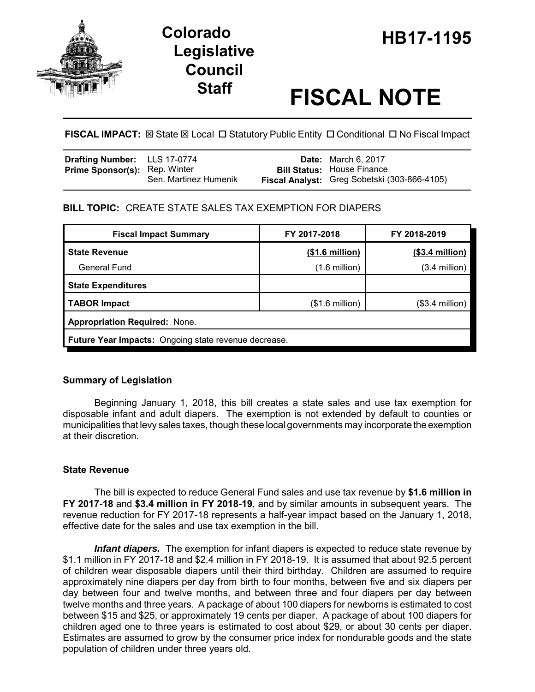

# **HB17-1195 Colorado Legislative Council**

# **Staff FISCAL NOTE**

**FISCAL IMPACT:**  $\boxtimes$  **State**  $\boxtimes$  **Local □ Statutory Public Entity □ Conditional □ No Fiscal Impact** 

| Drafting Number: LLS 17-0774         |                       | <b>Date:</b> March 6, 2017                   |
|--------------------------------------|-----------------------|----------------------------------------------|
| <b>Prime Sponsor(s): Rep. Winter</b> |                       | <b>Bill Status:</b> House Finance            |
|                                      | Sen. Martinez Humenik | Fiscal Analyst: Greg Sobetski (303-866-4105) |

# **BILL TOPIC:** CREATE STATE SALES TAX EXEMPTION FOR DIAPERS

| <b>Fiscal Impact Summary</b>                                | FY 2017-2018             | FY 2018-2019     |  |  |  |
|-------------------------------------------------------------|--------------------------|------------------|--|--|--|
| <b>State Revenue</b>                                        | (\$1.6 million)          | $($3.4$ million) |  |  |  |
| <b>General Fund</b>                                         | $(1.6 \text{ million})$  | $(3.4$ million)  |  |  |  |
| <b>State Expenditures</b>                                   |                          |                  |  |  |  |
| <b>TABOR Impact</b>                                         | $($1.6 \text{ million})$ | $($3.4$ million) |  |  |  |
| <b>Appropriation Required: None.</b>                        |                          |                  |  |  |  |
| <b>Future Year Impacts:</b> Ongoing state revenue decrease. |                          |                  |  |  |  |

# **Summary of Legislation**

Beginning January 1, 2018, this bill creates a state sales and use tax exemption for disposable infant and adult diapers. The exemption is not extended by default to counties or municipalities that levy sales taxes, though these local governments may incorporate the exemption at their discretion.

# **State Revenue**

The bill is expected to reduce General Fund sales and use tax revenue by **\$1.6 million in FY 2017-18** and **\$3.4 million in FY 2018-19**, and by similar amounts in subsequent years. The revenue reduction for FY 2017-18 represents a half-year impact based on the January 1, 2018, effective date for the sales and use tax exemption in the bill.

*Infant diapers.* The exemption for infant diapers is expected to reduce state revenue by \$1.1 million in FY 2017-18 and \$2.4 million in FY 2018-19. It is assumed that about 92.5 percent of children wear disposable diapers until their third birthday. Children are assumed to require approximately nine diapers per day from birth to four months, between five and six diapers per day between four and twelve months, and between three and four diapers per day between twelve months and three years. A package of about 100 diapers for newborns is estimated to cost between \$15 and \$25, or approximately 19 cents per diaper. A package of about 100 diapers for children aged one to three years is estimated to cost about \$29, or about 30 cents per diaper. Estimates are assumed to grow by the consumer price index for nondurable goods and the state population of children under three years old.